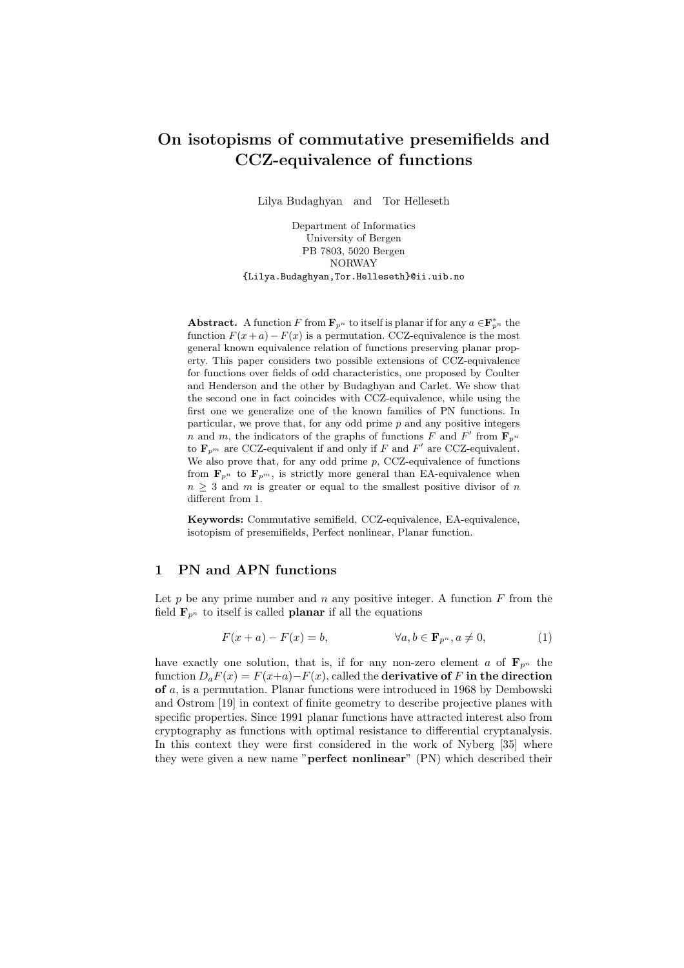# On isotopisms of commutative presemifields and CCZ-equivalence of functions

Lilya Budaghyan and Tor Helleseth

Department of Informatics University of Bergen PB 7803, 5020 Bergen NORWAY {Lilya.Budaghyan,Tor.Helleseth}@ii.uib.no

Abstract. A function F from  $\mathbf{F}_{p^n}$  to itself is planar if for any  $a \in \mathbf{F}_{p^n}^*$  the function  $F(x + a) - F(x)$  is a permutation. CCZ-equivalence is the most general known equivalence relation of functions preserving planar property. This paper considers two possible extensions of CCZ-equivalence for functions over fields of odd characteristics, one proposed by Coulter and Henderson and the other by Budaghyan and Carlet. We show that the second one in fact coincides with CCZ-equivalence, while using the first one we generalize one of the known families of PN functions. In particular, we prove that, for any odd prime  $p$  and any positive integers n and m, the indicators of the graphs of functions F and F' from  $\mathbf{F}_{p^n}$ to  $\mathbf{F}_{p^m}$  are CCZ-equivalent if and only if F and  $F'$  are CCZ-equivalent. We also prove that, for any odd prime  $p$ , CCZ-equivalence of functions from  $\mathbf{F}_{p^m}$  to  $\mathbf{F}_{p^m}$ , is strictly more general than EA-equivalence when  $n \geq 3$  and m is greater or equal to the smallest positive divisor of n different from 1.

Keywords: Commutative semifield, CCZ-equivalence, EA-equivalence, isotopism of presemifields, Perfect nonlinear, Planar function.

#### 1 PN and APN functions

Let  $p$  be any prime number and  $n$  any positive integer. A function  $F$  from the field  $\mathbf{F}_{n^n}$  to itself is called **planar** if all the equations

$$
F(x+a) - F(x) = b, \qquad \forall a, b \in \mathbf{F}_{p^n}, a \neq 0,
$$
 (1)

have exactly one solution, that is, if for any non-zero element a of  $\mathbf{F}_{p^n}$  the function  $D_aF(x) = F(x+a) - F(x)$ , called the **derivative of F** in the direction of a, is a permutation. Planar functions were introduced in 1968 by Dembowski and Ostrom [19] in context of finite geometry to describe projective planes with specific properties. Since 1991 planar functions have attracted interest also from cryptography as functions with optimal resistance to differential cryptanalysis. In this context they were first considered in the work of Nyberg [35] where they were given a new name "perfect nonlinear" (PN) which described their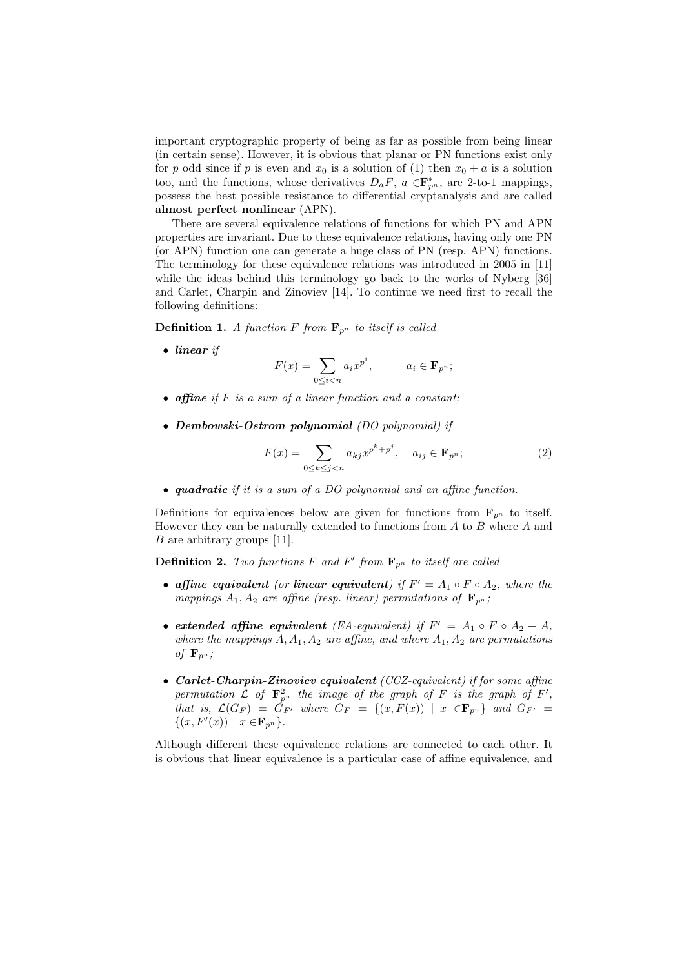important cryptographic property of being as far as possible from being linear (in certain sense). However, it is obvious that planar or PN functions exist only for p odd since if p is even and  $x_0$  is a solution of (1) then  $x_0 + a$  is a solution too, and the functions, whose derivatives  $D_a F$ ,  $a \in \mathbf{F}_{p^n}^*$ , are 2-to-1 mappings, possess the best possible resistance to differential cryptanalysis and are called almost perfect nonlinear (APN).

There are several equivalence relations of functions for which PN and APN properties are invariant. Due to these equivalence relations, having only one PN (or APN) function one can generate a huge class of PN (resp. APN) functions. The terminology for these equivalence relations was introduced in 2005 in [11] while the ideas behind this terminology go back to the works of Nyberg [36] and Carlet, Charpin and Zinoviev [14]. To continue we need first to recall the following definitions:

**Definition 1.** A function F from  $\mathbf{F}_{p^n}$  to itself is called

• linear if

$$
F(x) = \sum_{0 \le i < n} a_i x^{p^i}, \qquad a_i \in \mathbf{F}_{p^n};
$$

- $affine$  if  $F$  is a sum of a linear function and a constant;
- Dembowski-Ostrom polynomial (DO polynomial) if

$$
F(x) = \sum_{0 \le k \le j < n} a_{kj} x^{p^k + p^j}, \quad a_{ij} \in \mathbf{F}_{p^n};\tag{2}
$$

• quadratic if it is a sum of a DO polynomial and an affine function.

Definitions for equivalences below are given for functions from  $\mathbf{F}_{p^n}$  to itself. However they can be naturally extended to functions from  $A$  to  $B$  where  $A$  and  $B$  are arbitrary groups [11].

**Definition 2.** Two functions F and F' from  $\mathbf{F}_{p^n}$  to itself are called

- affine equivalent (or linear equivalent) if  $F' = A_1 \circ F \circ A_2$ , where the mappings  $A_1, A_2$  are affine (resp. linear) permutations of  $\mathbf{F}_{n^n}$ ;
- extended affine equivalent (EA-equivalent) if  $F' = A_1 \circ F \circ A_2 + A$ , where the mappings  $A, A_1, A_2$  are affine, and where  $A_1, A_2$  are permutations of  $\mathbf{F}_{p^n}$ ;
- Carlet-Charpin-Zinoviev equivalent (CCZ-equivalent) if for some affine permutation  $\mathcal L$  of  $\mathbf{F}_{p^n}^2$  the image of the graph of  $F$  is the graph of  $F'$ , that is,  $\mathcal{L}(G_F) = G_{F'}$  where  $G_F = \{(x, F(x)) \mid x \in \mathbf{F}_{p^n}\}\$  and  $G_{F'} =$  $\{(x, F'(x)) \mid x \in \mathbf{F}_{p^n}\}.$

Although different these equivalence relations are connected to each other. It is obvious that linear equivalence is a particular case of affine equivalence, and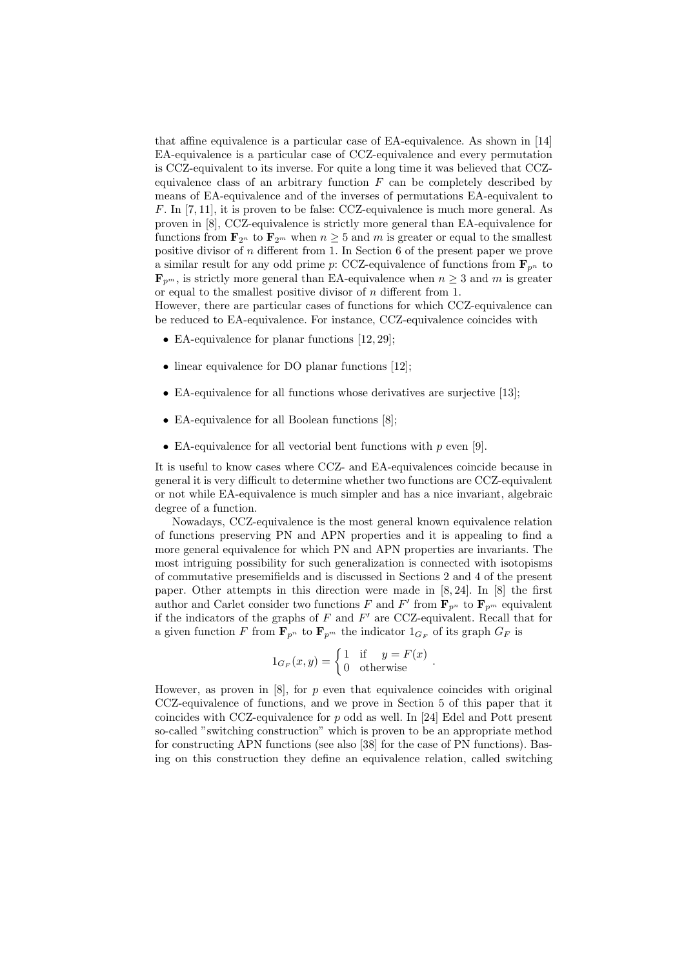that affine equivalence is a particular case of EA-equivalence. As shown in [14] EA-equivalence is a particular case of CCZ-equivalence and every permutation is CCZ-equivalent to its inverse. For quite a long time it was believed that CCZequivalence class of an arbitrary function  $F$  can be completely described by means of EA-equivalence and of the inverses of permutations EA-equivalent to F. In [7, 11], it is proven to be false: CCZ-equivalence is much more general. As proven in [8], CCZ-equivalence is strictly more general than EA-equivalence for functions from  $\mathbf{F}_{2^n}$  to  $\mathbf{F}_{2^m}$  when  $n \geq 5$  and m is greater or equal to the smallest positive divisor of n different from 1. In Section  $\tilde{6}$  of the present paper we prove a similar result for any odd prime p: CCZ-equivalence of functions from  $\mathbf{F}_{p^n}$  to  $\mathbf{F}_{p^m}$ , is strictly more general than EA-equivalence when  $n \geq 3$  and m is greater or equal to the smallest positive divisor of  $n$  different from 1.

However, there are particular cases of functions for which CCZ-equivalence can be reduced to EA-equivalence. For instance, CCZ-equivalence coincides with

- EA-equivalence for planar functions [12, 29];
- linear equivalence for DO planar functions [12];
- EA-equivalence for all functions whose derivatives are surjective [13];
- EA-equivalence for all Boolean functions [8];
- EA-equivalence for all vectorial bent functions with  $p$  even [9].

It is useful to know cases where CCZ- and EA-equivalences coincide because in general it is very difficult to determine whether two functions are CCZ-equivalent or not while EA-equivalence is much simpler and has a nice invariant, algebraic degree of a function.

Nowadays, CCZ-equivalence is the most general known equivalence relation of functions preserving PN and APN properties and it is appealing to find a more general equivalence for which PN and APN properties are invariants. The most intriguing possibility for such generalization is connected with isotopisms of commutative presemifields and is discussed in Sections 2 and 4 of the present paper. Other attempts in this direction were made in [8, 24]. In [8] the first author and Carlet consider two functions F and F' from  $\mathbf{F}_{p^n}$  to  $\mathbf{F}_{p^m}$  equivalent if the indicators of the graphs of  $F$  and  $F'$  are CCZ-equivalent. Recall that for a given function F from  $\mathbf{F}_{p^n}$  to  $\mathbf{F}_{p^m}$  the indicator  $1_{G_F}$  of its graph  $G_F$  is

$$
1_{G_F}(x,y) = \begin{cases} 1 & \text{if } y = F(x) \\ 0 & \text{otherwise} \end{cases}.
$$

However, as proven in  $[8]$ , for p even that equivalence coincides with original CCZ-equivalence of functions, and we prove in Section 5 of this paper that it coincides with CCZ-equivalence for  $p$  odd as well. In [24] Edel and Pott present so-called "switching construction" which is proven to be an appropriate method for constructing APN functions (see also [38] for the case of PN functions). Basing on this construction they define an equivalence relation, called switching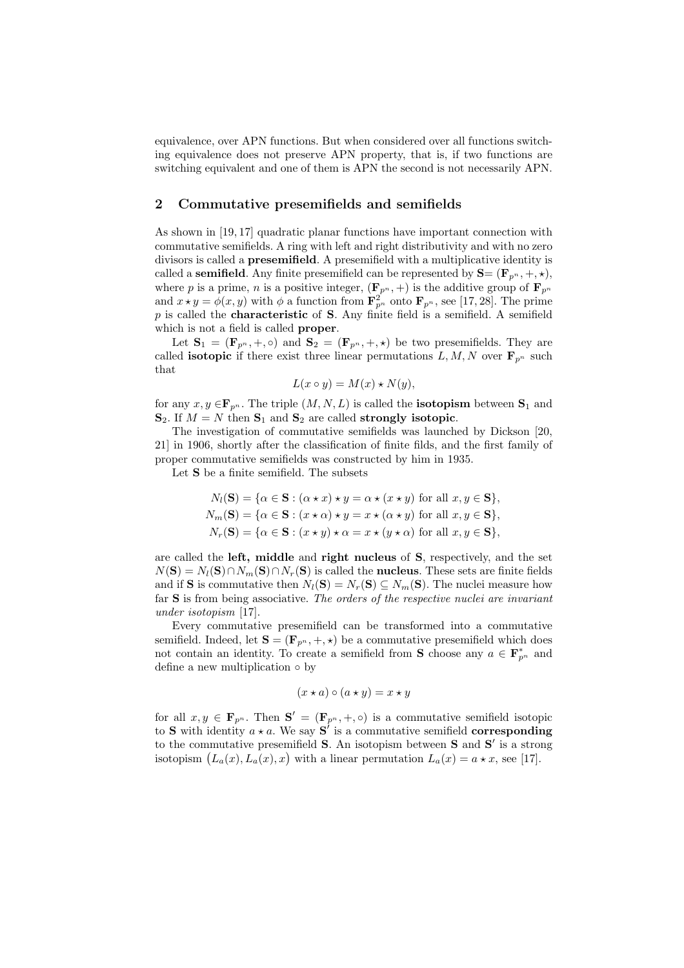equivalence, over APN functions. But when considered over all functions switching equivalence does not preserve APN property, that is, if two functions are switching equivalent and one of them is APN the second is not necessarily APN.

### 2 Commutative presemifields and semifields

As shown in [19, 17] quadratic planar functions have important connection with commutative semifields. A ring with left and right distributivity and with no zero divisors is called a presemifield. A presemifield with a multiplicative identity is called a **semifield**. Any finite presemifield can be represented by  $S = (\mathbf{F}_{p^n}, +, \star)$ , where p is a prime, n is a positive integer,  $(\mathbf{F}_{p^n}, +)$  is the additive group of  $\mathbf{F}_{p^n}$ and  $x \star y = \phi(x, y)$  with  $\phi$  a function from  $\mathbf{F}_{p^n}^2$  onto  $\mathbf{F}_{p^n}$ , see [17, 28]. The prime  $p$  is called the **characteristic** of **S**. Any finite field is a semifield. A semifield which is not a field is called proper.

Let  $S_1 = (\mathbf{F}_{p^n}, +, \circ)$  and  $S_2 = (\mathbf{F}_{p^n}, +, \star)$  be two presemifields. They are called **isotopic** if there exist three linear permutations  $L, M, N$  over  $\mathbf{F}_{p^n}$  such that

$$
L(x \circ y) = M(x) \star N(y),
$$

for any  $x, y \in \mathbf{F}_{p^n}$ . The triple  $(M, N, L)$  is called the **isotopism** between  $\mathbf{S}_1$  and  $S_2$ . If  $M = N$  then  $S_1$  and  $S_2$  are called strongly isotopic.

The investigation of commutative semifields was launched by Dickson [20, 21] in 1906, shortly after the classification of finite filds, and the first family of proper commutative semifields was constructed by him in 1935.

Let S be a finite semifield. The subsets

$$
N_l(\mathbf{S}) = \{ \alpha \in \mathbf{S} : (\alpha \star x) \star y = \alpha \star (x \star y) \text{ for all } x, y \in \mathbf{S} \},
$$
  
\n
$$
N_m(\mathbf{S}) = \{ \alpha \in \mathbf{S} : (x \star \alpha) \star y = x \star (\alpha \star y) \text{ for all } x, y \in \mathbf{S} \},
$$
  
\n
$$
N_r(\mathbf{S}) = \{ \alpha \in \mathbf{S} : (x \star y) \star \alpha = x \star (y \star \alpha) \text{ for all } x, y \in \mathbf{S} \},
$$

are called the left, middle and right nucleus of S, respectively, and the set  $N(S) = N_l(S) \cap N_m(S) \cap N_r(S)$  is called the **nucleus**. These sets are finite fields and if S is commutative then  $N_l(S) = N_r(S) \subseteq N_m(S)$ . The nuclei measure how far S is from being associative. The orders of the respective nuclei are invariant under isotopism [17].

Every commutative presemifield can be transformed into a commutative semifield. Indeed, let  $\mathbf{S} = (\mathbf{F}_{p^n}, +, \star)$  be a commutative presemifield which does not contain an identity. To create a semifield from **S** choose any  $a \in \mathbf{F}_{p^n}^*$  and define a new multiplication ◦ by

$$
(x \star a) \circ (a \star y) = x \star y
$$

for all  $x, y \in \mathbf{F}_{p^n}$ . Then  $\mathbf{S}' = (\mathbf{F}_{p^n}, +, \circ)$  is a commutative semifield isotopic to **S** with identity  $a \star a$ . We say  $S'$  is a commutative semifield **corresponding** to the commutative presemifield **S**. An isotopism between **S** and **S'** is a strong isotopism  $(L_a(x), L_a(x), x)$  with a linear permutation  $L_a(x) = a \star x$ , see [17].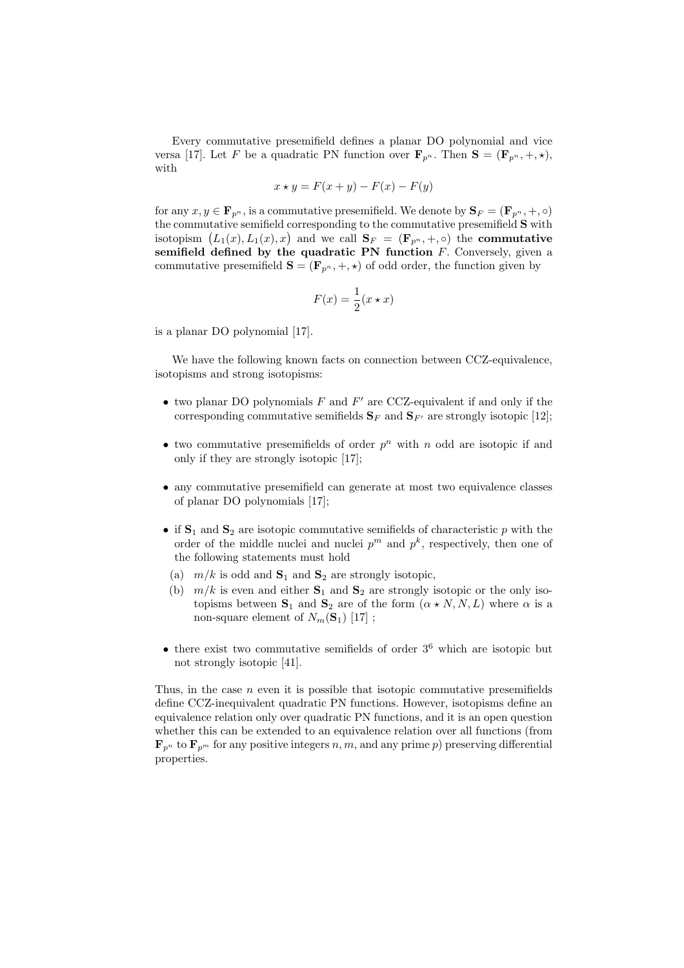Every commutative presemifield defines a planar DO polynomial and vice versa [17]. Let F be a quadratic PN function over  $\mathbf{F}_{p^n}$ . Then  $\mathbf{S} = (\mathbf{F}_{p^n}, +, \star),$ with

$$
x \star y = F(x + y) - F(x) - F(y)
$$

for any  $x, y \in \mathbf{F}_{p^n}$ , is a commutative presemifield. We denote by  $\mathbf{S}_F = (\mathbf{F}_{p^n}, +, \circ)$ the commutative semifield corresponding to the commutative presemifield S with isotopism  $(L_1(x), L_1(x), x)$  and we call  $\mathbf{S}_F = (\mathbf{F}_{p^n}, +, \circ)$  the commutative semifield defined by the quadratic PN function  $F$ . Conversely, given a commutative presemifield  $\mathbf{S} = (\mathbf{F}_{p^n}, +, \star)$  of odd order, the function given by

$$
F(x) = \frac{1}{2}(x \star x)
$$

is a planar DO polynomial [17].

We have the following known facts on connection between CCZ-equivalence, isotopisms and strong isotopisms:

- $\bullet$  two planar DO polynomials  $F$  and  $F'$  are CCZ-equivalent if and only if the corresponding commutative semifields  $S_F$  and  $S_{F'}$  are strongly isotopic [12];
- two commutative presemifields of order  $p^n$  with n odd are isotopic if and only if they are strongly isotopic [17];
- any commutative presemifield can generate at most two equivalence classes of planar DO polynomials [17];
- if  $S_1$  and  $S_2$  are isotopic commutative semifields of characteristic p with the order of the middle nuclei and nuclei  $p^m$  and  $p^k$ , respectively, then one of the following statements must hold
	- (a)  $m/k$  is odd and  $S_1$  and  $S_2$  are strongly isotopic,
	- (b)  $m/k$  is even and either  $S_1$  and  $S_2$  are strongly isotopic or the only isotopisms between  $S_1$  and  $S_2$  are of the form  $(\alpha \star N, N, L)$  where  $\alpha$  is a non-square element of  $N_m(\mathbf{S}_1)$  [17];
- there exist two commutative semifields of order  $3<sup>6</sup>$  which are isotopic but not strongly isotopic [41].

Thus, in the case  $n$  even it is possible that isotopic commutative presemifields define CCZ-inequivalent quadratic PN functions. However, isotopisms define an equivalence relation only over quadratic PN functions, and it is an open question whether this can be extended to an equivalence relation over all functions (from  $\mathbf{F}_{p^n}$  to  $\mathbf{F}_{p^m}$  for any positive integers n, m, and any prime p) preserving differential properties.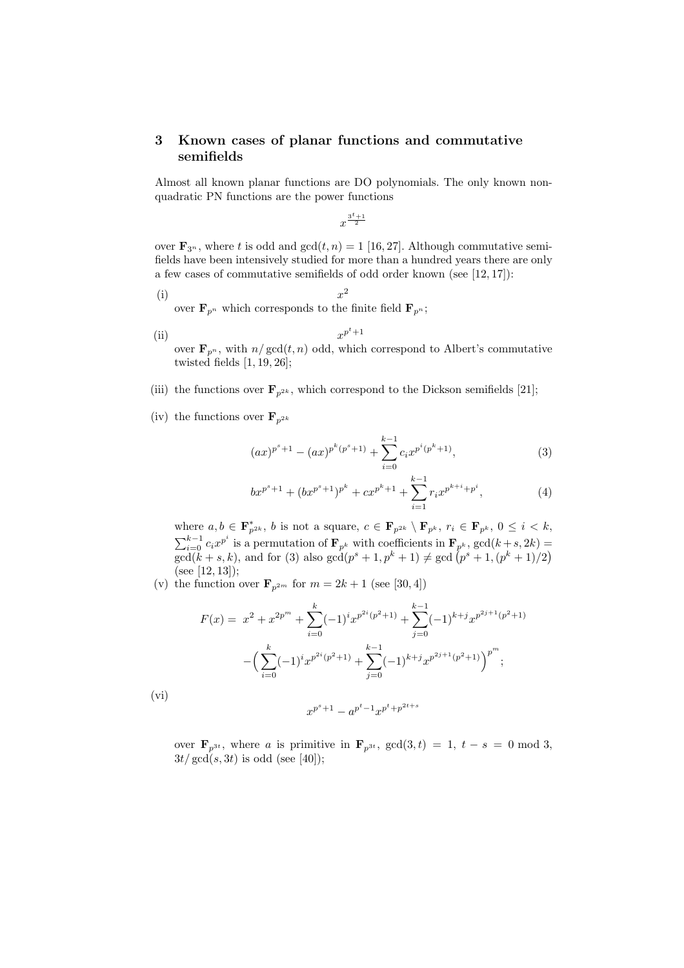# 3 Known cases of planar functions and commutative semifields

Almost all known planar functions are DO polynomials. The only known nonquadratic PN functions are the power functions

$$
x^{\frac{3^t+1}{2}}
$$

over  $\mathbf{F}_{3^n}$ , where t is odd and  $gcd(t, n) = 1$  [16, 27]. Although commutative semifields have been intensively studied for more than a hundred years there are only a few cases of commutative semifields of odd order known (see [12, 17]):

 $(x)$  x  $x^2$ over  $\mathbf{F}_{p^n}$  which corresponds to the finite field  $\mathbf{F}_{p^n}$ ;

- $\sin x$  $p^t + 1$ over  $\mathbf{F}_{p^n}$ , with  $n/\gcd(t, n)$  odd, which correspond to Albert's commutative twisted fields [1, 19, 26];
- (iii) the functions over  $\mathbf{F}_{n^{2k}}$ , which correspond to the Dickson semifields [21];
- (iv) the functions over  $\mathbf{F}_{p^{2k}}$

$$
(ax)^{p^s+1} - (ax)^{p^k(p^s+1)} + \sum_{i=0}^{k-1} c_i x^{p^i(p^k+1)},
$$
\n(3)

$$
bx^{p^s+1} + (bx^{p^s+1})^{p^k} + cx^{p^k+1} + \sum_{i=1}^{k-1} r_i x^{p^{k+i}+p^i},
$$
 (4)

where  $a, b \in \mathbf{F}_{p^{2k}}^*$ , b is not a square,  $c \in \mathbf{F}_{p^{2k}} \setminus \mathbf{F}_{p^k}$ ,  $r_i \in \mathbf{F}_{p^k}$ ,  $0 \leq i \leq k$ ,  $\sum_{i=0}^{k-1} c_i x^{p^i}$  is a permutation of  $\mathbf{F}_{p^k}$  with coefficients in  $\mathbf{F}_{p^k}$ ,  $\gcd(k+s, 2k) =$  $gcd(k + s, k)$ , and for (3) also  $gcd(p^s + 1, p^k + 1) \neq gcd(p^s + 1, (p^k + 1)/2)$ (see [12, 13]);

(v) the function over  $\mathbf{F}_{p^{2m}}$  for  $m = 2k + 1$  (see [30, 4])

$$
F(x) = x^{2} + x^{2p^{m}} + \sum_{i=0}^{k} (-1)^{i} x^{p^{2i}(p^{2}+1)} + \sum_{j=0}^{k-1} (-1)^{k+j} x^{p^{2j+1}(p^{2}+1)} - \left(\sum_{i=0}^{k} (-1)^{i} x^{p^{2i}(p^{2}+1)} + \sum_{j=0}^{k-1} (-1)^{k+j} x^{p^{2j+1}(p^{2}+1)}\right)^{p^{m}};
$$

(vi)

$$
x^{p^s+1} - a^{p^t-1} x^{p^t + p^{2t+s}}
$$

over  $\mathbf{F}_{p^{3t}}$ , where a is primitive in  $\mathbf{F}_{p^{3t}}$ ,  $gcd(3,t) = 1, t - s = 0 \mod 3$ ,  $3t/\gcd(s, 3t)$  is odd (see [40]);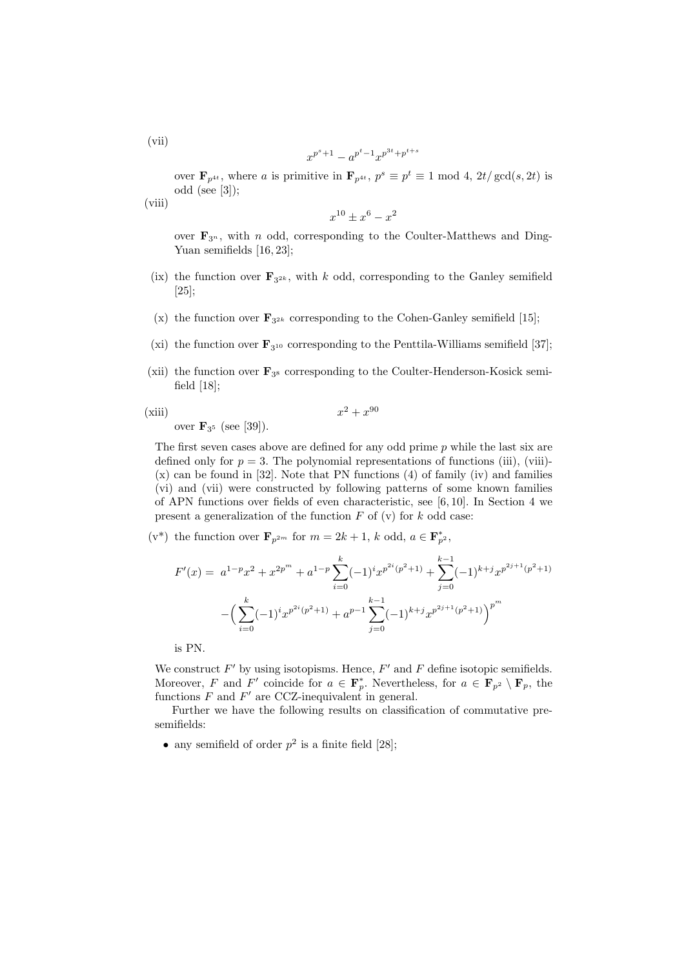$$
x^{p^s+1}-a^{p^t-1}x^{p^{3t}+p^{t+s}}
$$

over  $\mathbf{F}_{p^{4t}}$ , where a is primitive in  $\mathbf{F}_{p^{4t}}$ ,  $p^s \equiv p^t \equiv 1 \mod 4$ ,  $2t/\gcd(s, 2t)$  is odd (see [3]);

$$
x^{10} \pm x^6 - x^2
$$

over  $\mathbf{F}_{3^n}$ , with n odd, corresponding to the Coulter-Matthews and Ding-Yuan semifields [16, 23];

- (ix) the function over  $\mathbf{F}_{3^{2k}}$ , with k odd, corresponding to the Ganley semifield [25];
- (x) the function over  $\mathbf{F}_{3^{2k}}$  corresponding to the Cohen-Ganley semifield [15];
- (xi) the function over  $\mathbf{F}_{3^{10}}$  corresponding to the Penttila-Williams semifield [37];
- (xii) the function over  $\mathbf{F}_{38}$  corresponding to the Coulter-Henderson-Kosick semifield  $[18]$ ;

(xiii) over 
$$
\mathbf{F}_{3^5}
$$
 (see [39]).  $x^2 + x^{90}$ 

The first seven cases above are defined for any odd prime  $p$  while the last six are defined only for  $p = 3$ . The polynomial representations of functions (iii), (viii)- $(x)$  can be found in [32]. Note that PN functions (4) of family (iv) and families (vi) and (vii) were constructed by following patterns of some known families of APN functions over fields of even characteristic, see [6, 10]. In Section 4 we present a generalization of the function  $F$  of  $(v)$  for  $k$  odd case:

(v<sup>\*</sup>) the function over  $\mathbf{F}_{p^{2m}}$  for  $m = 2k + 1$ , k odd,  $a \in \mathbf{F}_{p^2}^*$ ,

$$
F'(x) = a^{1-p}x^2 + x^{2p^m} + a^{1-p} \sum_{i=0}^k (-1)^i x^{p^{2i}(p^2+1)} + \sum_{j=0}^{k-1} (-1)^{k+j} x^{p^{2j+1}(p^2+1)}
$$

$$
- \left( \sum_{i=0}^k (-1)^i x^{p^{2i}(p^2+1)} + a^{p-1} \sum_{j=0}^{k-1} (-1)^{k+j} x^{p^{2j+1}(p^2+1)} \right)^{p^m}
$$

is PN.

We construct  $F'$  by using isotopisms. Hence,  $F'$  and  $F$  define isotopic semifields. Moreover, F and F' coincide for  $a \in \mathbf{F}_p^*$ . Nevertheless, for  $a \in \mathbf{F}_{p^2} \setminus \mathbf{F}_p$ , the functions  $F$  and  $F'$  are CCZ-inequivalent in general.

Further we have the following results on classification of commutative presemifields:

• any semifield of order  $p^2$  is a finite field [28];

(vii)

(viii)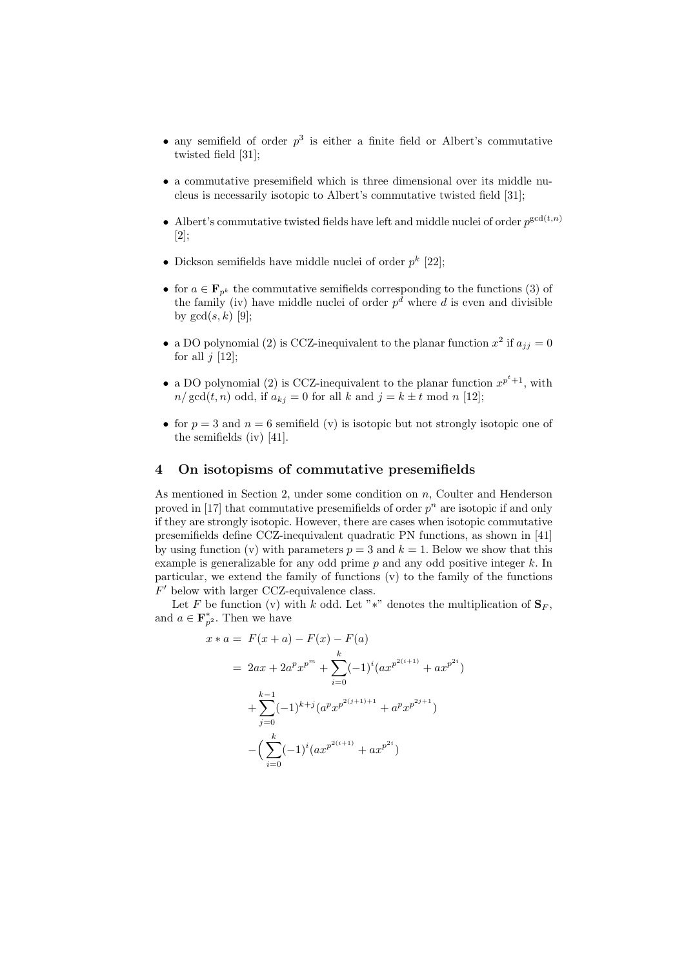- any semifield of order  $p^3$  is either a finite field or Albert's commutative twisted field [31];
- a commutative presemifield which is three dimensional over its middle nucleus is necessarily isotopic to Albert's commutative twisted field [31];
- Albert's commutative twisted fields have left and middle nuclei of order  $p^{\gcd(t,n)}$ [2];
- Dickson semifields have middle nuclei of order  $p^k$  [22];
- for  $a \in \mathbf{F}_{p^k}$  the commutative semifields corresponding to the functions (3) of the family (iv) have middle nuclei of order  $p^d$  where d is even and divisible by  $gcd(s, k)$  [9];
- a DO polynomial (2) is CCZ-inequivalent to the planar function  $x^2$  if  $a_{jj} = 0$ for all  $j$  [12];
- a DO polynomial (2) is CCZ-inequivalent to the planar function  $x^{p^t+1}$ , with  $n/\gcd(t, n)$  odd, if  $a_{kj} = 0$  for all k and  $j = k \pm t \mod n$  [12];
- for  $p = 3$  and  $n = 6$  semifield (v) is isotopic but not strongly isotopic one of the semifields (iv) [41].

#### 4 On isotopisms of commutative presemifields

As mentioned in Section 2, under some condition on n, Coulter and Henderson proved in [17] that commutative presemifields of order  $p^n$  are isotopic if and only if they are strongly isotopic. However, there are cases when isotopic commutative presemifields define CCZ-inequivalent quadratic PN functions, as shown in [41] by using function (v) with parameters  $p = 3$  and  $k = 1$ . Below we show that this example is generalizable for any odd prime  $p$  and any odd positive integer  $k$ . In particular, we extend the family of functions (v) to the family of the functions F ′ below with larger CCZ-equivalence class.

Let F be function (v) with k odd. Let "\*" denotes the multiplication of  $S_F$ , and  $a \in \mathbf{F}_{p^2}^*$ . Then we have

$$
x * a = F(x + a) - F(x) - F(a)
$$
  
=  $2ax + 2a^px^{p^m} + \sum_{i=0}^{k} (-1)^i(ax^{p^{2(i+1)}} + ax^{p^{2i}})$   
+  $\sum_{j=0}^{k-1} (-1)^{k+j}(a^px^{p^{2(j+1)+1}} + a^px^{p^{2j+1}})$   
-  $\left(\sum_{i=0}^{k} (-1)^i(ax^{p^{2(i+1)}} + ax^{p^{2i}})\right)$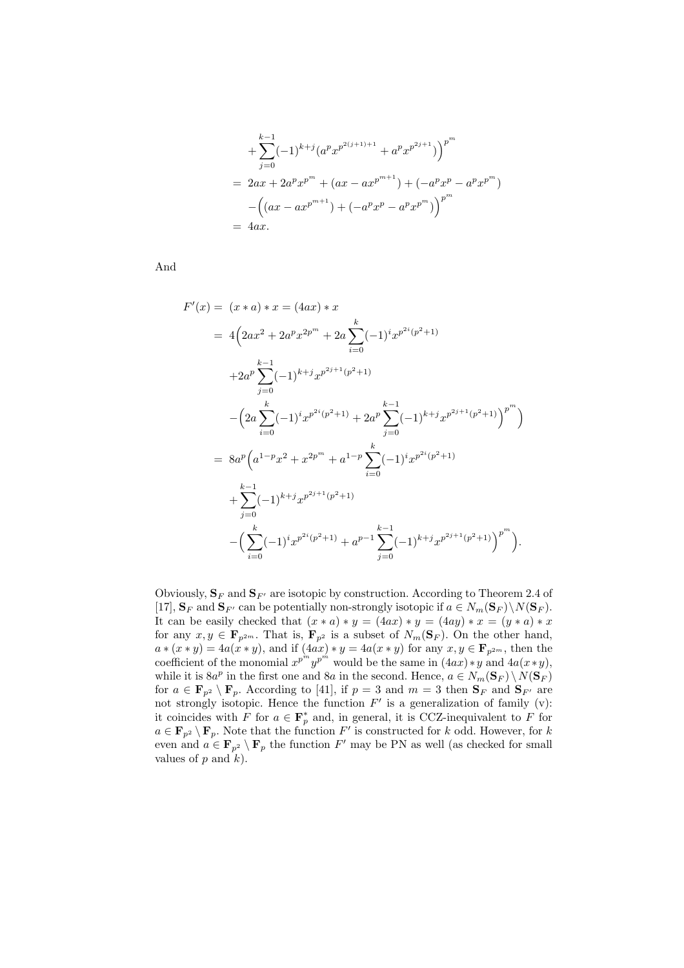$$
+\sum_{j=0}^{k-1}(-1)^{k+j}(a^px^{p^{2(j+1)+1}}+a^px^{p^{2j+1}})\big)^{p^m}
$$
  
=  $2ax + 2a^px^{p^m} + (ax - ax^{p^{m+1}}) + (-a^px^p - a^px^{p^m})$   
 $-((ax - ax^{p^{m+1}}) + (-a^px^p - a^px^{p^m}))\big)^{p^m}$   
=  $4ax$ .

And

$$
F'(x) = (x * a) * x = (4ax) * x
$$
  
\n
$$
= 4\left(2ax^2 + 2a^px^{2p^m} + 2a\sum_{i=0}^k (-1)^i x^{p^{2i}(p^2+1)}\right)
$$
  
\n
$$
+ 2a^p \sum_{j=0}^{k-1} (-1)^{k+j} x^{p^{2j+1}(p^2+1)}
$$
  
\n
$$
- \left(2a\sum_{i=0}^k (-1)^i x^{p^{2i}(p^2+1)} + 2a^p \sum_{j=0}^{k-1} (-1)^{k+j} x^{p^{2j+1}(p^2+1)}\right)^{p^m}
$$
  
\n
$$
= 8a^p \left(a^{1-p} x^2 + x^{2p^m} + a^{1-p} \sum_{i=0}^k (-1)^i x^{p^{2i}(p^2+1)}
$$
  
\n
$$
+ \sum_{j=0}^{k-1} (-1)^{k+j} x^{p^{2j+1}(p^2+1)}
$$
  
\n
$$
- \left(\sum_{i=0}^k (-1)^i x^{p^{2i}(p^2+1)} + a^{p-1} \sum_{j=0}^{k-1} (-1)^{k+j} x^{p^{2j+1}(p^2+1)}\right)^{p^m}.
$$

Obviously,  $S_F$  and  $S_{F'}$  are isotopic by construction. According to Theorem 2.4 of [17],  $\mathbf{S}_F$  and  $\mathbf{S}_{F'}$  can be potentially non-strongly isotopic if  $a \in N_m(\mathbf{S}_F) \setminus N(\mathbf{S}_F)$ . It can be easily checked that  $(x * a) * y = (4ax) * y = (4ay) * x = (y * a) * x$ for any  $x, y \in \mathbf{F}_{p^{2m}}$ . That is,  $\mathbf{F}_{p^2}$  is a subset of  $N_m(\mathbf{S}_F)$ . On the other hand,  $a*(x*y)=4a(x*y)$ , and if  $(4ax)*y=4a(x*y)$  for any  $x,y\in \mathbf{F}_{p^{2m}}$ , then the coefficient of the monomial  $x^{p^m} y^{p^m}$  would be the same in  $(4ax)*y$  and  $4a(x*y)$ , while it is  $8a^p$  in the first one and  $8a$  in the second. Hence,  $a \in N_m(\mathbf{S}_F) \setminus N(\mathbf{S}_F)$ for  $a \in \mathbf{F}_{p^2} \setminus \mathbf{F}_p$ . According to [41], if  $p = 3$  and  $m = 3$  then  $\mathbf{S}_F$  and  $\mathbf{S}_{F'}$  are not strongly isotopic. Hence the function  $F'$  is a generalization of family (v): it coincides with F for  $a \in \mathbf{F}_p^*$  and, in general, it is CCZ-inequivalent to F for  $a \in \mathbf{F}_{p^2} \setminus \mathbf{F}_p$ . Note that the function  $F'$  is constructed for k odd. However, for k even and  $a \in \mathbf{F}_{p^2} \setminus \mathbf{F}_p$  the function  $F'$  may be PN as well (as checked for small values of  $p$  and  $k$ ).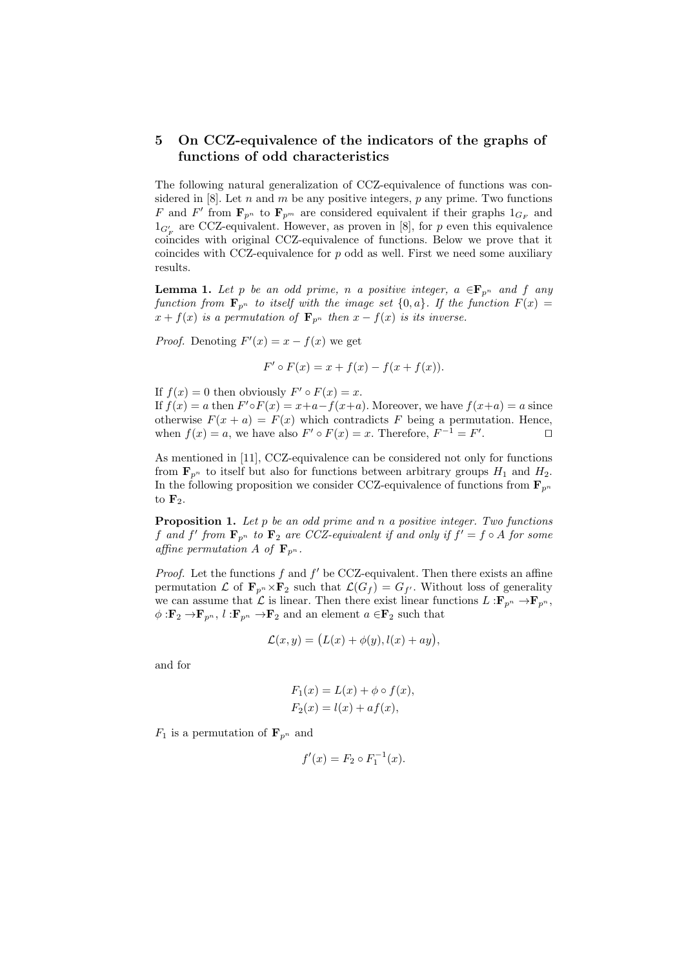# 5 On CCZ-equivalence of the indicators of the graphs of functions of odd characteristics

The following natural generalization of CCZ-equivalence of functions was considered in [8]. Let n and m be any positive integers,  $p$  any prime. Two functions F and F' from  $\mathbf{F}_{p^n}$  to  $\mathbf{F}_{p^m}$  are considered equivalent if their graphs  $1_{G_F}$  and  $1_{G'_F}$  are CCZ-equivalent. However, as proven in [8], for p even this equivalence coincides with original CCZ-equivalence of functions. Below we prove that it coincides with CCZ-equivalence for  $p$  odd as well. First we need some auxiliary results.

**Lemma 1.** Let p be an odd prime, n a positive integer,  $a \in \mathbf{F}_{p^n}$  and f any function from  $\mathbf{F}_{p^n}$  to itself with the image set  $\{0,a\}$ . If the function  $F(x) =$  $x + f(x)$  is a permutation of  $\mathbf{F}_{p^n}$  then  $x - f(x)$  is its inverse.

*Proof.* Denoting  $F'(x) = x - f(x)$  we get

$$
F' \circ F(x) = x + f(x) - f(x + f(x)).
$$

If  $f(x) = 0$  then obviously  $F' \circ F(x) = x$ .

If  $f(x) = a$  then  $F' \circ F(x) = x + a - f(x+a)$ . Moreover, we have  $f(x+a) = a$  since otherwise  $F(x + a) = F(x)$  which contradicts F being a permutation. Hence, when  $f(x) = a$ , we have also  $F' \circ F(x) = x$ . Therefore,  $F^{-1} = F'$  $\Box$ 

As mentioned in [11], CCZ-equivalence can be considered not only for functions from  $\mathbf{F}_{p^n}$  to itself but also for functions between arbitrary groups  $H_1$  and  $H_2$ . In the following proposition we consider CCZ-equivalence of functions from  $\mathbf{F}_{p^n}$ to  $\mathbf{F}_2$ .

**Proposition 1.** Let  $p$  be an odd prime and  $n$  a positive integer. Two functions f and f' from  $\mathbf{F}_{p^n}$  to  $\mathbf{F}_2$  are CCZ-equivalent if and only if  $f' = f \circ A$  for some affine permutation A of  $\mathbf{F}_{p^n}$ .

*Proof.* Let the functions  $f$  and  $f'$  be CCZ-equivalent. Then there exists an affine permutation  $\mathcal L$  of  $\mathbf F_{p^n} \times \mathbf F_2$  such that  $\mathcal L(G_f) = G_{f'}$ . Without loss of generality we can assume that L is linear. Then there exist linear functions  $L : \mathbf{F}_{p^n} \to \mathbf{F}_{p^n}$ ,  $\phi: \mathbf{F}_2 \to \mathbf{F}_{p^n}, l : \mathbf{F}_{p^n} \to \mathbf{F}_2$  and an element  $a \in \mathbf{F}_2$  such that

$$
\mathcal{L}(x,y) = (L(x) + \phi(y), l(x) + ay),
$$

and for

$$
F_1(x) = L(x) + \phi \circ f(x),
$$
  

$$
F_2(x) = l(x) + af(x),
$$

 $F_1$  is a permutation of  $\mathbf{F}_{p^n}$  and

$$
f'(x) = F_2 \circ F_1^{-1}(x).
$$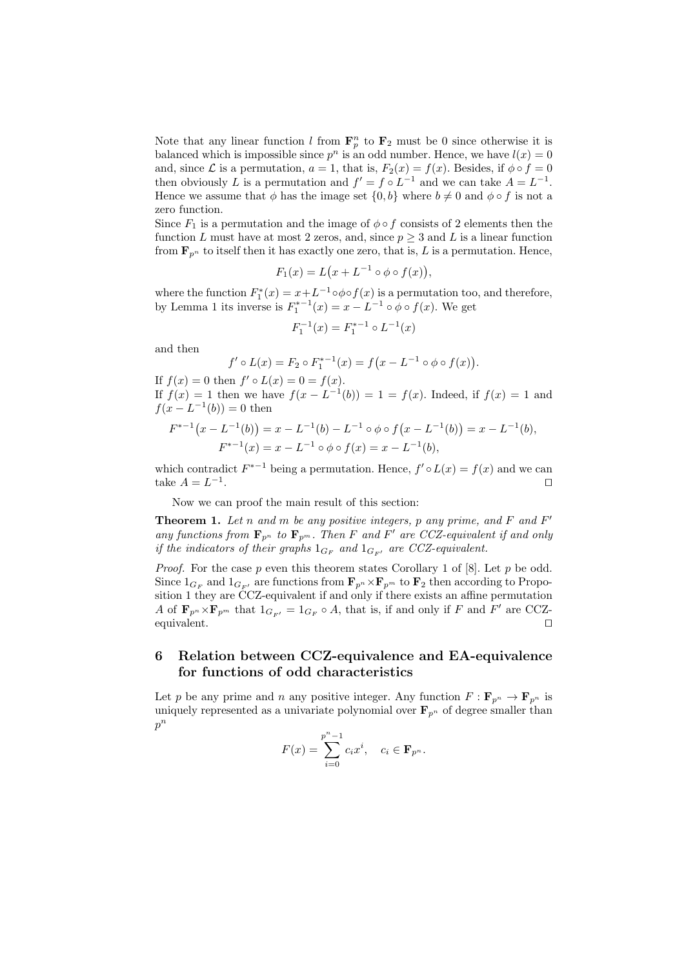Note that any linear function l from  $\mathbf{F}_p^n$  to  $\mathbf{F}_2$  must be 0 since otherwise it is balanced which is impossible since  $p^n$  is an odd number. Hence, we have  $l(x) = 0$ and, since  $\mathcal L$  is a permutation,  $a = 1$ , that is,  $F_2(x) = f(x)$ . Besides, if  $\phi \circ f = 0$ then obviously L is a permutation and  $f' = f \circ L^{-1}$  and we can take  $A = L^{-1}$ . Hence we assume that  $\phi$  has the image set  $\{0, b\}$  where  $b \neq 0$  and  $\phi \circ f$  is not a zero function.

Since  $F_1$  is a permutation and the image of  $\phi \circ f$  consists of 2 elements then the function L must have at most 2 zeros, and, since  $p \geq 3$  and L is a linear function from  $\mathbf{F}_{p^n}$  to itself then it has exactly one zero, that is, L is a permutation. Hence,

$$
F_1(x) = L\big(x + L^{-1} \circ \phi \circ f(x)\big),
$$

where the function  $F_1^*(x) = x + L^{-1} \circ \phi \circ f(x)$  is a permutation too, and therefore, by Lemma 1 its inverse is  $F_1^{*-1}(x) = x - L^{-1} \circ \phi \circ f(x)$ . We get

$$
F_1^{-1}(x) = F_1^{*-1} \circ L^{-1}(x)
$$

and then

$$
f' \circ L(x) = F_2 \circ F_1^{*-1}(x) = f(x - L^{-1} \circ \phi \circ f(x)).
$$

If  $f(x) = 0$  then  $f' \circ L(x) = 0 = f(x)$ . If  $f(x) = 1$  then we have  $f(x - L^{-1}(b)) = 1 = f(x)$ . Indeed, if  $f(x) = 1$  and  $f(x - L^{-1}(b)) = 0$  then

$$
F^{*-1}(x - L^{-1}(b)) = x - L^{-1}(b) - L^{-1} \circ \phi \circ f(x - L^{-1}(b)) = x - L^{-1}(b),
$$
  

$$
F^{*-1}(x) = x - L^{-1} \circ \phi \circ f(x) = x - L^{-1}(b),
$$

which contradict  $F^{*-1}$  being a permutation. Hence,  $f' \circ L(x) = f(x)$  and we can take  $A = L^{-1}$ . ⊓⊔

Now we can proof the main result of this section:

**Theorem 1.** Let n and m be any positive integers, p any prime, and  $F$  and  $F'$ any functions from  $\mathbf{F}_{p^n}$  to  $\mathbf{F}_{p^m}$ . Then F and F' are CCZ-equivalent if and only if the indicators of their graphs  $1_{G_F}$  and  $1_{G_{F'}}$  are CCZ-equivalent.

*Proof.* For the case  $p$  even this theorem states Corollary 1 of [8]. Let  $p$  be odd. Since  $1_{G_F}$  and  $1_{G_{F'}}$  are functions from  $\mathbf{F}_{p^n} \times \mathbf{F}_{p^m}$  to  $\mathbf{F}_2$  then according to Proposition 1 they are CCZ-equivalent if and only if there exists an affine permutation A of  $\mathbf{F}_{p^n} \times \mathbf{F}_{p^m}$  that  $1_{G_{F'}} = 1_{G_F} \circ A$ , that is, if and only if F and F' are CCZequivalent.  $□$ 

# 6 Relation between CCZ-equivalence and EA-equivalence for functions of odd characteristics

Let p be any prime and n any positive integer. Any function  $F: \mathbf{F}_{p^n} \to \mathbf{F}_{p^n}$  is uniquely represented as a univariate polynomial over  $\mathbf{F}_{p^n}$  of degree smaller than  $p^n$ 

$$
F(x) = \sum_{i=0}^{p^n - 1} c_i x^i, \quad c_i \in \mathbf{F}_{p^n}.
$$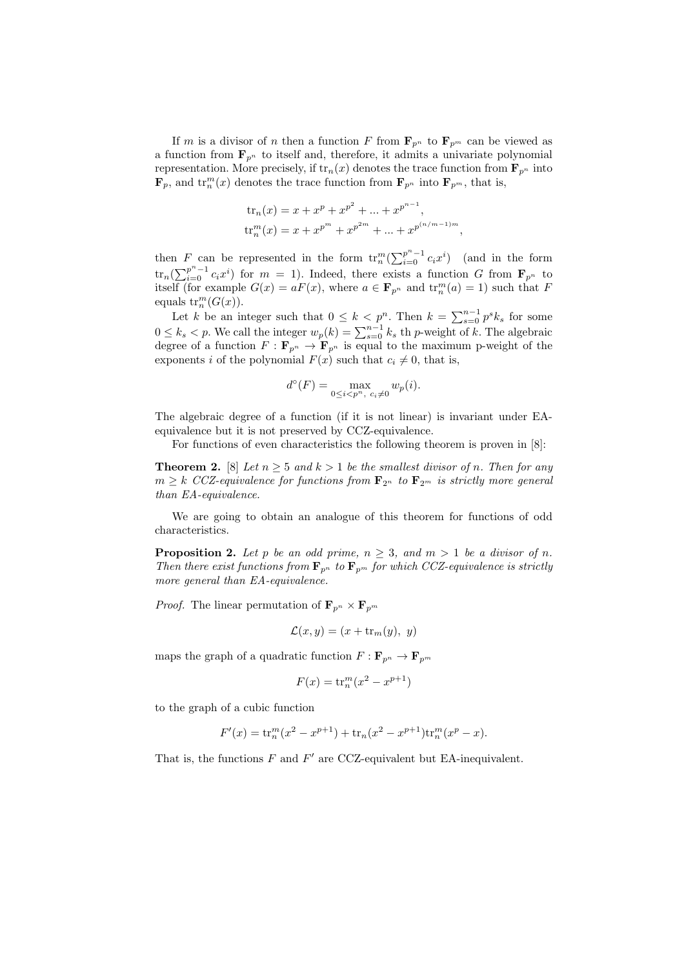If m is a divisor of n then a function F from  $\mathbf{F}_{p^n}$  to  $\mathbf{F}_{p^m}$  can be viewed as a function from  $\mathbf{F}_{p^n}$  to itself and, therefore, it admits a univariate polynomial representation. More precisely, if  $\text{tr}_n(x)$  denotes the trace function from  $\mathbf{F}_{p^n}$  into  $\mathbf{F}_p$ , and  $\mathrm{tr}_n^m(x)$  denotes the trace function from  $\mathbf{F}_{p^m}$  into  $\mathbf{F}_{p^m}$ , that is,

$$
tr_n(x) = x + x^p + x^{p^2} + \dots + x^{p^{n-1}},
$$
  
\n
$$
tr_n^m(x) = x + x^{p^m} + x^{p^{2m}} + \dots + x^{p^{(n/m-1)m}},
$$

then  $F_{\_}$  can be represented in the form  $\operatorname{tr}^m_n(\sum_{i=0}^{p^n-1} c_i x^i)$  (and in the form  $\text{tr}_n(\sum_{i=0}^{p^n-1} c_i x^i)$  for  $m = 1$ ). Indeed, there exists a function G from  $\mathbf{F}_{p^n}$  to itself (for example  $G(x) = aF(x)$ , where  $a \in \mathbf{F}_{p^n}$  and  $\text{tr}_n^m(a) = 1$ ) such that F equals  $\mathrm{tr}_n^m(G(x))$ .

Let k be an integer such that  $0 \leq k < p^n$ . Then  $k = \sum_{s=0}^{n-1} p^s k_s$  for some  $0 \leq k_s < p$ . We call the integer  $w_p(k) = \sum_{s=0}^{n-1} k_s$  th p-weight of k. The algebraic degree of a function  $F: \mathbf{F}_{p^n} \to \mathbf{F}_{p^n}$  is equal to the maximum p-weight of the exponents i of the polynomial  $F(x)$  such that  $c_i \neq 0$ , that is,

$$
d^{\circ}(F) = \max_{0 \le i < p^n, \ c_i \ne 0} w_p(i).
$$

The algebraic degree of a function (if it is not linear) is invariant under EAequivalence but it is not preserved by CCZ-equivalence.

For functions of even characteristics the following theorem is proven in [8]:

**Theorem 2.** [8] Let  $n \geq 5$  and  $k > 1$  be the smallest divisor of n. Then for any  $m \geq k$  CCZ-equivalence for functions from  $\mathbf{F}_{2^n}$  to  $\mathbf{F}_{2^m}$  is strictly more general than EA-equivalence.

We are going to obtain an analogue of this theorem for functions of odd characteristics.

**Proposition 2.** Let p be an odd prime,  $n \geq 3$ , and  $m > 1$  be a divisor of n. Then there exist functions from  $\mathbf{F}_{p^n}$  to  $\mathbf{F}_{p^m}$  for which CCZ-equivalence is strictly more general than EA-equivalence.

*Proof.* The linear permutation of  $\mathbf{F}_{p^n} \times \mathbf{F}_{p^m}$ 

$$
\mathcal{L}(x, y) = (x + \text{tr}_m(y), y)
$$

maps the graph of a quadratic function  $F : \mathbf{F}_{p^m} \to \mathbf{F}_{p^m}$ 

$$
F(x) = \operatorname{tr}_n^m(x^2 - x^{p+1})
$$

to the graph of a cubic function

$$
F'(x) = \text{tr}_n^m(x^2 - x^{p+1}) + \text{tr}_n(x^2 - x^{p+1})\text{tr}_n^m(x^p - x).
$$

That is, the functions  $F$  and  $F'$  are CCZ-equivalent but EA-inequivalent.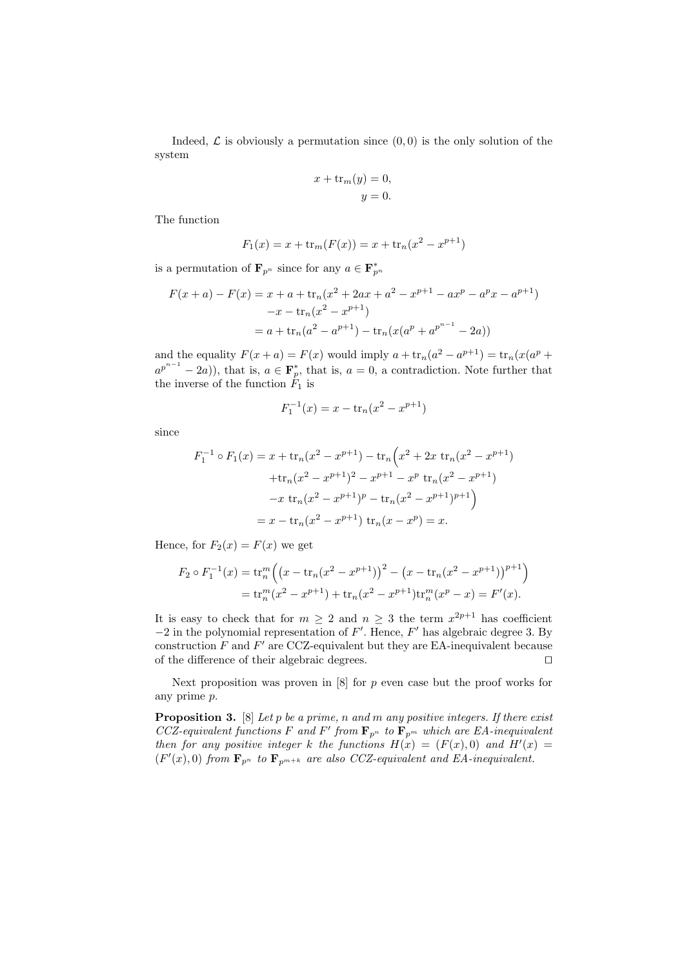Indeed,  $\mathcal L$  is obviously a permutation since  $(0, 0)$  is the only solution of the system

$$
x + \operatorname{tr}_{m}(y) = 0,
$$
  

$$
y = 0.
$$

The function

$$
F_1(x) = x + \text{tr}_m(F(x)) = x + \text{tr}_n(x^2 - x^{p+1})
$$

is a permutation of  $\mathbf{F}_{p^n}$  since for any  $a \in \mathbf{F}_{p^n}^*$ 

$$
F(x+a) - F(x) = x + a + \text{tr}_n(x^2 + 2ax + a^2 - x^{p+1} - ax^p - a^px - a^{p+1})
$$

$$
-x - \text{tr}_n(x^2 - x^{p+1})
$$

$$
= a + \text{tr}_n(a^2 - a^{p+1}) - \text{tr}_n(x(a^p + a^{p^{n-1}} - 2a))
$$

and the equality  $F(x + a) = F(x)$  would imply  $a + \text{tr}_n(a^2 - a^{p+1}) = \text{tr}_n(x(a^p + a))$  $a^{p^{n-1}} - 2a$ ), that is,  $a \in \mathbf{F}_p^*$ , that is,  $a = 0$ , a contradiction. Note further that the inverse of the function  $\tilde{F}_1$  is

$$
F_1^{-1}(x) = x - \text{tr}_n(x^2 - x^{p+1})
$$

since

$$
F_1^{-1} \circ F_1(x) = x + \text{tr}_n(x^2 - x^{p+1}) - \text{tr}_n(x^2 + 2x \text{ tr}_n(x^2 - x^{p+1})
$$

$$
+ \text{tr}_n(x^2 - x^{p+1})^2 - x^{p+1} - x^p \text{ tr}_n(x^2 - x^{p+1})
$$

$$
-x \text{ tr}_n(x^2 - x^{p+1})^p - \text{tr}_n(x^2 - x^{p+1})^{p+1}
$$

$$
= x - \text{tr}_n(x^2 - x^{p+1}) \text{ tr}_n(x - x^p) = x.
$$

Hence, for  $F_2(x) = F(x)$  we get

$$
F_2 \circ F_1^{-1}(x) = \operatorname{tr}_n^m \left( \left( x - \operatorname{tr}_n(x^2 - x^{p+1}) \right)^2 - \left( x - \operatorname{tr}_n(x^2 - x^{p+1}) \right)^{p+1} \right)
$$
  
=  $\operatorname{tr}_n^m(x^2 - x^{p+1}) + \operatorname{tr}_n(x^2 - x^{p+1}) \operatorname{tr}_n^m(x^p - x) = F'(x).$ 

It is easy to check that for  $m \geq 2$  and  $n \geq 3$  the term  $x^{2p+1}$  has coefficient  $-2$  in the polynomial representation of  $F'$ . Hence,  $F'$  has algebraic degree 3. By construction  $F$  and  $F'$  are CCZ-equivalent but they are EA-inequivalent because of the difference of their algebraic degrees. ⊓⊔

Next proposition was proven in  $[8]$  for p even case but the proof works for any prime p.

**Proposition 3.** [8] Let p be a prime, n and m any positive integers. If there exist CCZ-equivalent functions F and F' from  $\mathbf{F}_{p^n}$  to  $\mathbf{F}_{p^m}$  which are EA-inequivalent then for any positive integer k the functions  $H(x) = (F(x), 0)$  and  $H'(x) =$  $(F'(x), 0)$  from  $\mathbf{F}_{p^n}$  to  $\mathbf{F}_{p^{m+k}}$  are also CCZ-equivalent and EA-inequivalent.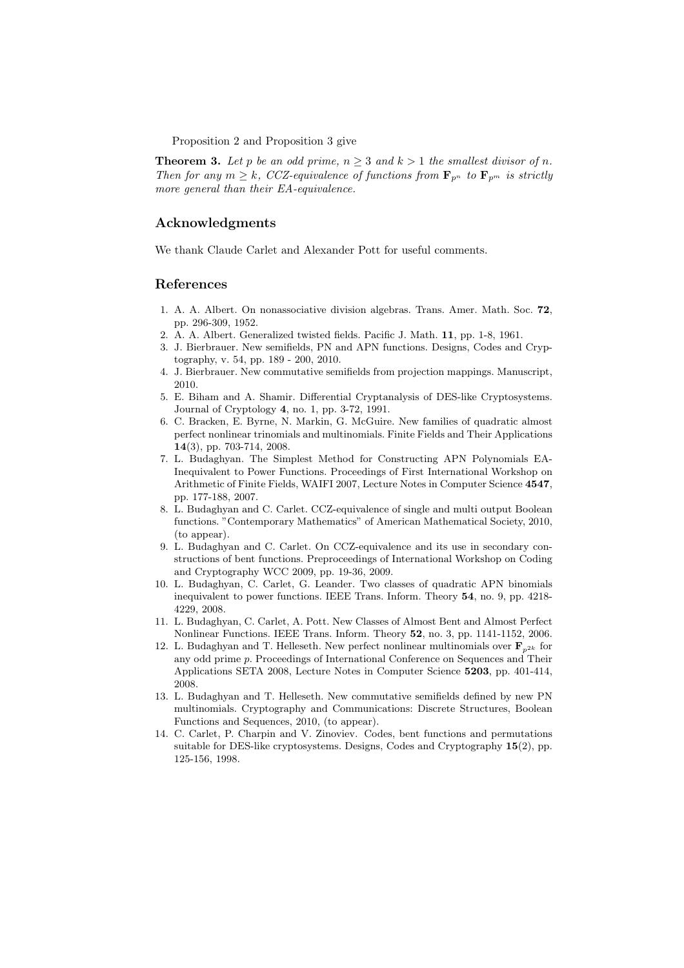Proposition 2 and Proposition 3 give

**Theorem 3.** Let p be an odd prime,  $n \geq 3$  and  $k \geq 1$  the smallest divisor of n. Then for any  $m \geq k$ , CCZ-equivalence of functions from  $\mathbf{F}_{p^n}$  to  $\mathbf{F}_{p^m}$  is strictly more general than their EA-equivalence.

### Acknowledgments

We thank Claude Carlet and Alexander Pott for useful comments.

### References

- 1. A. A. Albert. On nonassociative division algebras. Trans. Amer. Math. Soc. 72, pp. 296-309, 1952.
- 2. A. A. Albert. Generalized twisted fields. Pacific J. Math. 11, pp. 1-8, 1961.
- 3. J. Bierbrauer. New semifields, PN and APN functions. Designs, Codes and Cryptography, v. 54, pp. 189 - 200, 2010.
- 4. J. Bierbrauer. New commutative semifields from projection mappings. Manuscript, 2010.
- 5. E. Biham and A. Shamir. Differential Cryptanalysis of DES-like Cryptosystems. Journal of Cryptology 4, no. 1, pp. 3-72, 1991.
- 6. C. Bracken, E. Byrne, N. Markin, G. McGuire. New families of quadratic almost perfect nonlinear trinomials and multinomials. Finite Fields and Their Applications 14(3), pp. 703-714, 2008.
- 7. L. Budaghyan. The Simplest Method for Constructing APN Polynomials EA-Inequivalent to Power Functions. Proceedings of First International Workshop on Arithmetic of Finite Fields, WAIFI 2007, Lecture Notes in Computer Science 4547, pp. 177-188, 2007.
- 8. L. Budaghyan and C. Carlet. CCZ-equivalence of single and multi output Boolean functions. "Contemporary Mathematics" of American Mathematical Society, 2010, (to appear).
- 9. L. Budaghyan and C. Carlet. On CCZ-equivalence and its use in secondary constructions of bent functions. Preproceedings of International Workshop on Coding and Cryptography WCC 2009, pp. 19-36, 2009.
- 10. L. Budaghyan, C. Carlet, G. Leander. Two classes of quadratic APN binomials inequivalent to power functions. IEEE Trans. Inform. Theory 54, no. 9, pp. 4218- 4229, 2008.
- 11. L. Budaghyan, C. Carlet, A. Pott. New Classes of Almost Bent and Almost Perfect Nonlinear Functions. IEEE Trans. Inform. Theory 52, no. 3, pp. 1141-1152, 2006.
- 12. L. Budaghyan and T. Helleseth. New perfect nonlinear multinomials over  $\mathbf{F}_{p^{2k}}$  for any odd prime p. Proceedings of International Conference on Sequences and Their Applications SETA 2008, Lecture Notes in Computer Science 5203, pp. 401-414, 2008.
- 13. L. Budaghyan and T. Helleseth. New commutative semifields defined by new PN multinomials. Cryptography and Communications: Discrete Structures, Boolean Functions and Sequences, 2010, (to appear).
- 14. C. Carlet, P. Charpin and V. Zinoviev. Codes, bent functions and permutations suitable for DES-like cryptosystems. Designs, Codes and Cryptography 15(2), pp. 125-156, 1998.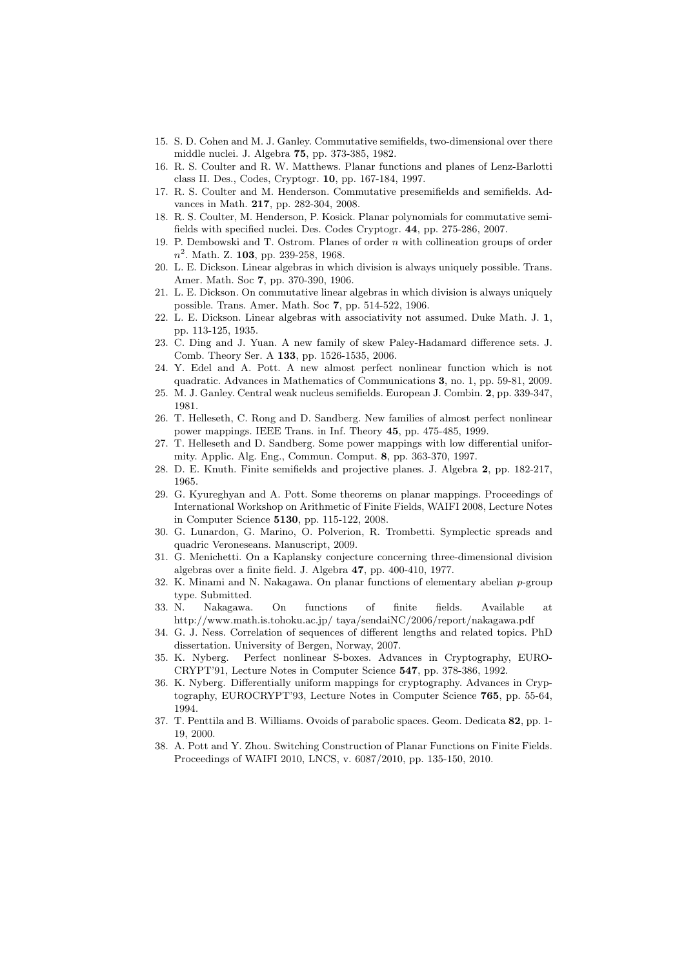- 15. S. D. Cohen and M. J. Ganley. Commutative semifields, two-dimensional over there middle nuclei. J. Algebra 75, pp. 373-385, 1982.
- 16. R. S. Coulter and R. W. Matthews. Planar functions and planes of Lenz-Barlotti class II. Des., Codes, Cryptogr. 10, pp. 167-184, 1997.
- 17. R. S. Coulter and M. Henderson. Commutative presemifields and semifields. Advances in Math. 217, pp. 282-304, 2008.
- 18. R. S. Coulter, M. Henderson, P. Kosick. Planar polynomials for commutative semifields with specified nuclei. Des. Codes Cryptogr. 44, pp. 275-286, 2007.
- 19. P. Dembowski and T. Ostrom. Planes of order n with collineation groups of order  $n^2$ . Math. Z. 103, pp. 239-258, 1968.
- 20. L. E. Dickson. Linear algebras in which division is always uniquely possible. Trans. Amer. Math. Soc 7, pp. 370-390, 1906.
- 21. L. E. Dickson. On commutative linear algebras in which division is always uniquely possible. Trans. Amer. Math. Soc 7, pp. 514-522, 1906.
- 22. L. E. Dickson. Linear algebras with associativity not assumed. Duke Math. J. 1, pp. 113-125, 1935.
- 23. C. Ding and J. Yuan. A new family of skew Paley-Hadamard difference sets. J. Comb. Theory Ser. A 133, pp. 1526-1535, 2006.
- 24. Y. Edel and A. Pott. A new almost perfect nonlinear function which is not quadratic. Advances in Mathematics of Communications 3, no. 1, pp. 59-81, 2009.
- 25. M. J. Ganley. Central weak nucleus semifields. European J. Combin. 2, pp. 339-347, 1981.
- 26. T. Helleseth, C. Rong and D. Sandberg. New families of almost perfect nonlinear power mappings. IEEE Trans. in Inf. Theory 45, pp. 475-485, 1999.
- 27. T. Helleseth and D. Sandberg. Some power mappings with low differential uniformity. Applic. Alg. Eng., Commun. Comput. 8, pp. 363-370, 1997.
- 28. D. E. Knuth. Finite semifields and projective planes. J. Algebra 2, pp. 182-217, 1965.
- 29. G. Kyureghyan and A. Pott. Some theorems on planar mappings. Proceedings of International Workshop on Arithmetic of Finite Fields, WAIFI 2008, Lecture Notes in Computer Science 5130, pp. 115-122, 2008.
- 30. G. Lunardon, G. Marino, O. Polverion, R. Trombetti. Symplectic spreads and quadric Veroneseans. Manuscript, 2009.
- 31. G. Menichetti. On a Kaplansky conjecture concerning three-dimensional division algebras over a finite field. J. Algebra 47, pp. 400-410, 1977.
- 32. K. Minami and N. Nakagawa. On planar functions of elementary abelian  $p$ -group type. Submitted.
- 33. N. Nakagawa. On functions of finite fields. Available at http://www.math.is.tohoku.ac.jp/ taya/sendaiNC/2006/report/nakagawa.pdf
- 34. G. J. Ness. Correlation of sequences of different lengths and related topics. PhD dissertation. University of Bergen, Norway, 2007.
- 35. K. Nyberg. Perfect nonlinear S-boxes. Advances in Cryptography, EURO-CRYPT'91, Lecture Notes in Computer Science 547, pp. 378-386, 1992.
- 36. K. Nyberg. Differentially uniform mappings for cryptography. Advances in Cryptography, EUROCRYPT'93, Lecture Notes in Computer Science 765, pp. 55-64, 1994.
- 37. T. Penttila and B. Williams. Ovoids of parabolic spaces. Geom. Dedicata 82, pp. 1- 19, 2000.
- 38. A. Pott and Y. Zhou. Switching Construction of Planar Functions on Finite Fields. Proceedings of WAIFI 2010, LNCS, v. 6087/2010, pp. 135-150, 2010.